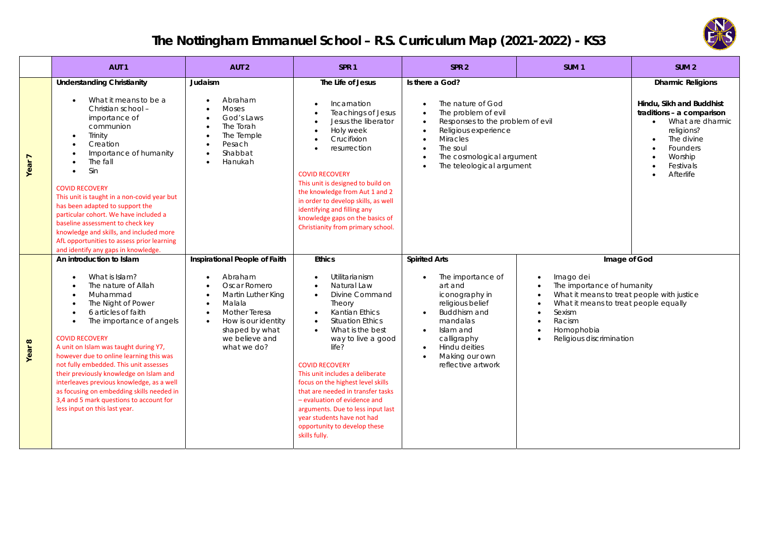

## **The Nottingham Emmanuel School – R.S. Curriculum Map (2021-2022) - KS3**

|                        | AUT <sub>1</sub>                                                                                                                                                                                                                                                                                                                                                                                                                                                                                                                                                                                             | AUT <sub>2</sub>                                                                                                                                                                                                                                                         | SPR <sub>1</sub>                                                                                                                                                                                                                                                                                                                                                                                                                                                                                                         | SPR <sub>2</sub>                                                                                                                                                                                                                                   | SUM <sub>1</sub>                            | SUM <sub>2</sub>                                                                                                                                                                     |  |
|------------------------|--------------------------------------------------------------------------------------------------------------------------------------------------------------------------------------------------------------------------------------------------------------------------------------------------------------------------------------------------------------------------------------------------------------------------------------------------------------------------------------------------------------------------------------------------------------------------------------------------------------|--------------------------------------------------------------------------------------------------------------------------------------------------------------------------------------------------------------------------------------------------------------------------|--------------------------------------------------------------------------------------------------------------------------------------------------------------------------------------------------------------------------------------------------------------------------------------------------------------------------------------------------------------------------------------------------------------------------------------------------------------------------------------------------------------------------|----------------------------------------------------------------------------------------------------------------------------------------------------------------------------------------------------------------------------------------------------|---------------------------------------------|--------------------------------------------------------------------------------------------------------------------------------------------------------------------------------------|--|
| $\overline{ }$<br>Year | <b>Understanding Christianity</b><br>What it means to be a<br>$\bullet$<br>Christian school -<br>importance of<br>communion<br>Trinity<br>$\bullet$<br>Creation<br>$\bullet$<br>Importance of humanity<br>$\bullet$<br>The fall<br>$\bullet$<br>Sin<br>$\bullet$<br><b>COVID RECOVERY</b><br>This unit is taught in a non-covid year but<br>has been adapted to support the<br>particular cohort. We have included a<br>baseline assessment to check key<br>knowledge and skills, and included more<br>AfL opportunities to assess prior learning<br>and identify any gaps in knowledge.                     | Judaism<br>Abraham<br>$\bullet$<br><b>Moses</b><br>God's Laws<br>$\bullet$<br>The Torah<br>$\bullet$<br>The Temple<br>$\bullet$<br>Pesach<br>$\bullet$<br>Shabbat<br>$\bullet$<br>Hanukah                                                                                | The Life of Jesus<br>Incarnation<br>$\bullet$<br><b>Teachings of Jesus</b><br>$\bullet$<br>Jesus the liberator<br>Holy week<br>$\bullet$<br>Crucifixion<br>$\bullet$<br>resurrection<br><b>COVID RECOVERY</b><br>This unit is designed to build on<br>the knowledge from Aut 1 and 2<br>in order to develop skills, as well<br>identifying and filling any<br>knowledge gaps on the basics of<br>Christianity from primary school.                                                                                       | Is there a God?<br>The nature of God<br>The problem of evil<br>Responses to the problem of evil<br>Religious experience<br><b>Miracles</b><br>$\bullet$<br>The soul<br>The cosmological argument<br>The teleological argument                      |                                             | <b>Dharmic Religions</b><br>Hindu, Sikh and Buddhist<br>traditions - a comparison<br>• What are dharmic<br>religions?<br>The divine<br>Founders<br>Worship<br>Festivals<br>Afterlife |  |
| $\infty$<br>Year       | An introduction to Islam<br>What is Islam?<br>$\bullet$<br>The nature of Allah<br>$\bullet$<br>Muhammad<br>$\bullet$<br>The Night of Power<br>$\bullet$<br>6 articles of faith<br>$\bullet$<br>The importance of angels<br>$\bullet$<br><b>COVID RECOVERY</b><br>A unit on Islam was taught during Y7,<br>however due to online learning this was<br>not fully embedded. This unit assesses<br>their previously knowledge on Islam and<br>interleaves previous knowledge, as a well<br>as focusing on embedding skills needed in<br>3,4 and 5 mark questions to account for<br>less input on this last year. | Inspirational People of Faith<br>Abraham<br>$\bullet$<br>Oscar Romero<br>$\bullet$<br>Martin Luther King<br>$\bullet$<br>Malala<br>$\bullet$<br><b>Mother Teresa</b><br>$\bullet$<br>How is our identity<br>$\bullet$<br>shaped by what<br>we believe and<br>what we do? | <b>Ethics</b><br>Utilitarianism<br>Natural Law<br>Divine Command<br>$\bullet$<br>Theory<br>Kantian Ethics<br>$\bullet$<br><b>Situation Ethics</b><br>$\bullet$<br>What is the best<br>$\bullet$<br>way to live a good<br>life?<br><b>COVID RECOVERY</b><br>This unit includes a deliberate<br>focus on the highest level skills<br>that are needed in transfer tasks<br>- evaluation of evidence and<br>arguments. Due to less input last<br>year students have not had<br>opportunity to develop these<br>skills fully. | <b>Spirited Arts</b><br>The importance of<br>$\bullet$<br>art and<br>iconography in<br>religious belief<br>Buddhism and<br>$\bullet$<br>mandalas<br>Islam and<br>$\bullet$<br>calligraphy<br>Hindu deities<br>Making our own<br>reflective artwork | Imago dei<br>Sexism<br>Racism<br>Homophobia | Image of God<br>The importance of humanity<br>What it means to treat people with justice<br>What it means to treat people equally<br>Religious discrimination                        |  |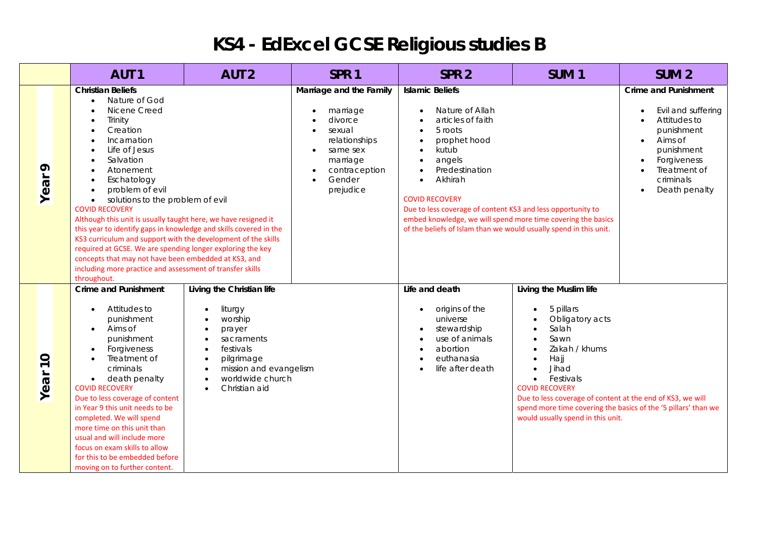## **KS4 - EdExcel GCSE Religious studies B**

|                                             | AUT <sub>1</sub>                                                                                                                                                                                                                                                                                                                                                                                                                                                                                                                                                                                                                                    | AUT <sub>2</sub>                                                                                                                                                               | SPR <sub>1</sub>                                                                                                                                                                                           | SPR <sub>2</sub>                                                                                                                                                                                                                                                                                                                                                                                 | SUM <sub>1</sub>                                                                                                                                                                                                                                                                                                                  | SUM <sub>2</sub>                                                                                                                                                                   |
|---------------------------------------------|-----------------------------------------------------------------------------------------------------------------------------------------------------------------------------------------------------------------------------------------------------------------------------------------------------------------------------------------------------------------------------------------------------------------------------------------------------------------------------------------------------------------------------------------------------------------------------------------------------------------------------------------------------|--------------------------------------------------------------------------------------------------------------------------------------------------------------------------------|------------------------------------------------------------------------------------------------------------------------------------------------------------------------------------------------------------|--------------------------------------------------------------------------------------------------------------------------------------------------------------------------------------------------------------------------------------------------------------------------------------------------------------------------------------------------------------------------------------------------|-----------------------------------------------------------------------------------------------------------------------------------------------------------------------------------------------------------------------------------------------------------------------------------------------------------------------------------|------------------------------------------------------------------------------------------------------------------------------------------------------------------------------------|
| ᡐ<br>Year                                   | <b>Christian Beliefs</b><br>Nature of God<br>Nicene Creed<br>Trinity<br>Creation<br>Incarnation<br>Life of Jesus<br>Salvation<br>Atonement<br>Eschatology<br>problem of evil<br>solutions to the problem of evil<br><b>COVID RECOVERY</b><br>Although this unit is usually taught here, we have resigned it<br>this year to identify gaps in knowledge and skills covered in the<br>KS3 curriculum and support with the development of the skills<br>required at GCSE. We are spending longer exploring the key<br>concepts that may not have been embedded at KS3, and<br>including more practice and assessment of transfer skills<br>throughout. |                                                                                                                                                                                | Marriage and the Family<br>marriage<br>$\bullet$<br>divorce<br>sexual<br>$\bullet$<br>relationships<br>same sex<br>$\bullet$<br>marriage<br>contraception<br>$\bullet$<br>Gender<br>$\bullet$<br>prejudice | <b>Islamic Beliefs</b><br>Nature of Allah<br>articles of faith<br>5 roots<br>prophet hood<br>kutub<br>angels<br>$\bullet$<br>Predestination<br>Akhirah<br>$\bullet$<br><b>COVID RECOVERY</b><br>Due to less coverage of content KS3 and less opportunity to<br>embed knowledge, we will spend more time covering the basics<br>of the beliefs of Islam than we would usually spend in this unit. |                                                                                                                                                                                                                                                                                                                                   | <b>Crime and Punishment</b><br>Evil and suffering<br>Attitudes to<br>punishment<br>Aims of<br>$\bullet$<br>punishment<br>Forgiveness<br>Treatment of<br>criminals<br>Death penalty |
| $\circ$<br>$\overline{\phantom{0}}$<br>Year | <b>Crime and Punishment</b><br>Attitudes to<br>punishment<br>Aims of<br>$\bullet$<br>punishment<br>Forgiveness<br>$\bullet$<br>Treatment of<br>criminals<br>death penalty<br>$\bullet$<br><b>COVID RECOVERY</b><br>Due to less coverage of content<br>in Year 9 this unit needs to be<br>completed. We will spend<br>more time on this unit than<br>usual and will include more<br>focus on exam skills to allow<br>for this to be embedded before<br>moving on to further content.                                                                                                                                                                 | Living the Christian life<br>liturgy<br>worship<br>prayer<br>sacraments<br>festivals<br>pilgrimage<br>mission and evangelism<br>$\bullet$<br>worldwide church<br>Christian aid |                                                                                                                                                                                                            | Life and death<br>origins of the<br>universe<br>stewardship<br>use of animals<br>abortion<br>euthanasia<br>life after death                                                                                                                                                                                                                                                                      | Living the Muslim life<br>5 pillars<br>Obligatory acts<br>Salah<br>Sawn<br>Zakah / khums<br>Hajj<br>Jihad<br>Festivals<br>$\bullet$<br><b>COVID RECOVERY</b><br>Due to less coverage of content at the end of KS3, we will<br>spend more time covering the basics of the '5 pillars' than we<br>would usually spend in this unit. |                                                                                                                                                                                    |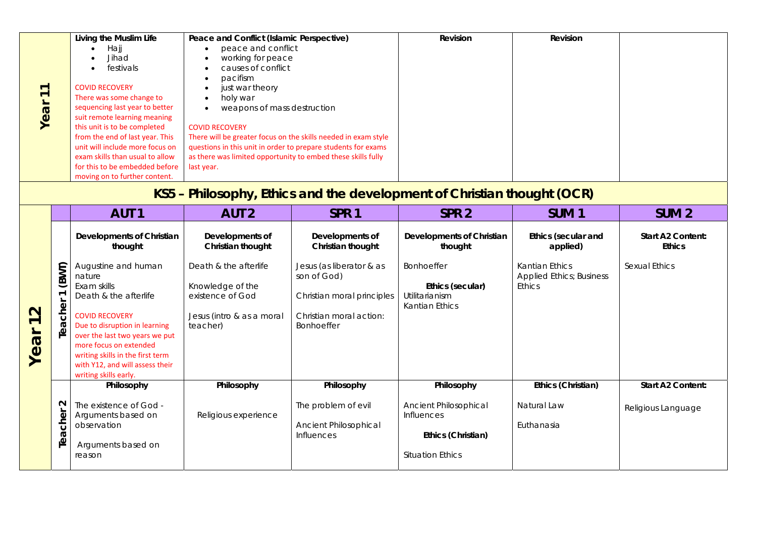|                   | Living the Muslim Life<br>Peace and Conflict (Islamic Perspective)<br>peace and conflict<br>Hajj<br>Jihad<br>working for peace<br>causes of conflict<br>festivals<br>pacifism<br><b>COVID RECOVERY</b><br>just war theory<br>$\overline{ }$<br>$\overline{\phantom{0}}$<br>There was some change to<br>holy war<br>Year<br>sequencing last year to better<br>weapons of mass destruction<br>suit remote learning meaning<br>this unit is to be completed<br><b>COVID RECOVERY</b><br>from the end of last year. This<br>There will be greater focus on the skills needed in exam style<br>unit will include more focus on<br>questions in this unit in order to prepare students for exams<br>exam skills than usual to allow<br>as there was limited opportunity to embed these skills fully<br>for this to be embedded before<br>last year.<br>moving on to further content. |                                                                       |                                                               | Revision                                                              | Revision                                         |                                                                    |                                    |
|-------------------|--------------------------------------------------------------------------------------------------------------------------------------------------------------------------------------------------------------------------------------------------------------------------------------------------------------------------------------------------------------------------------------------------------------------------------------------------------------------------------------------------------------------------------------------------------------------------------------------------------------------------------------------------------------------------------------------------------------------------------------------------------------------------------------------------------------------------------------------------------------------------------|-----------------------------------------------------------------------|---------------------------------------------------------------|-----------------------------------------------------------------------|--------------------------------------------------|--------------------------------------------------------------------|------------------------------------|
|                   | KS5 – Philosophy, Ethics and the development of Christian thought (OCR)<br><b>AUT 1</b><br><b>AUT 2</b><br>SPR <sub>1</sub>                                                                                                                                                                                                                                                                                                                                                                                                                                                                                                                                                                                                                                                                                                                                                    |                                                                       |                                                               | SPR <sub>2</sub>                                                      | SUM <sub>1</sub>                                 | SUM <sub>2</sub>                                                   |                                    |
|                   |                                                                                                                                                                                                                                                                                                                                                                                                                                                                                                                                                                                                                                                                                                                                                                                                                                                                                | Developments of Christian<br>thought                                  | Developments of<br>Christian thought                          | Developments of<br>Christian thought                                  | Developments of Christian<br>thought             | <b>Ethics (secular and</b><br>applied)                             | Start A2 Content:<br><b>Ethics</b> |
| $\mathbf{\Omega}$ | (BWT)<br>$\overline{ }$                                                                                                                                                                                                                                                                                                                                                                                                                                                                                                                                                                                                                                                                                                                                                                                                                                                        | Augustine and human<br>nature<br>Exam skills<br>Death & the afterlife | Death & the afterlife<br>Knowledge of the<br>existence of God | Jesus (as liberator & as<br>son of God)<br>Christian moral principles | Bonhoeffer<br>Ethics (secular)<br>Utilitarianism | <b>Kantian Ethics</b><br><b>Applied Ethics; Business</b><br>Ethics | <b>Sexual Ethics</b>               |
| $\overline{ }$    | cher                                                                                                                                                                                                                                                                                                                                                                                                                                                                                                                                                                                                                                                                                                                                                                                                                                                                           | <b>COVID RECOVERY</b>                                                 | Jesus (intro & as a moral                                     | Christian moral action:                                               | <b>Kantian Ethics</b>                            |                                                                    |                                    |

| $\mathbf{\Omega}$<br>ear<br>$\sum$ | 6<br>Tea             | <b>COVID RECOVERY</b><br>Due to disruption in learning<br>over the last two years we put<br>more focus on extended<br>writing skills in the first term<br>with Y12, and will assess their<br>writing skills early. | Jesus (intro & as a moral<br>teacher) | Christian moral action:<br><b>Bonhoeffer</b> | KUHUUT LUTUJ                               |                    |                          |
|------------------------------------|----------------------|--------------------------------------------------------------------------------------------------------------------------------------------------------------------------------------------------------------------|---------------------------------------|----------------------------------------------|--------------------------------------------|--------------------|--------------------------|
|                                    |                      | Philosophy                                                                                                                                                                                                         | Philosophy                            | Philosophy                                   | Philosophy                                 | Ethics (Christian) | <b>Start A2 Content:</b> |
|                                    | N I<br>ত             | The existence of God -<br>Arguments based on                                                                                                                                                                       | Religious experience                  | The problem of evil                          | <b>Ancient Philosophical</b><br>Influences | Natural Law        | Religious Language       |
|                                    | $\circ$<br>G.        | observation                                                                                                                                                                                                        |                                       | <b>Ancient Philosophical</b><br>Influences   | Ethics (Christian)                         | Euthanasia         |                          |
|                                    | $\tilde{\mathbf{e}}$ | Arguments based on<br>reason                                                                                                                                                                                       |                                       |                                              | <b>Situation Ethics</b>                    |                    |                          |